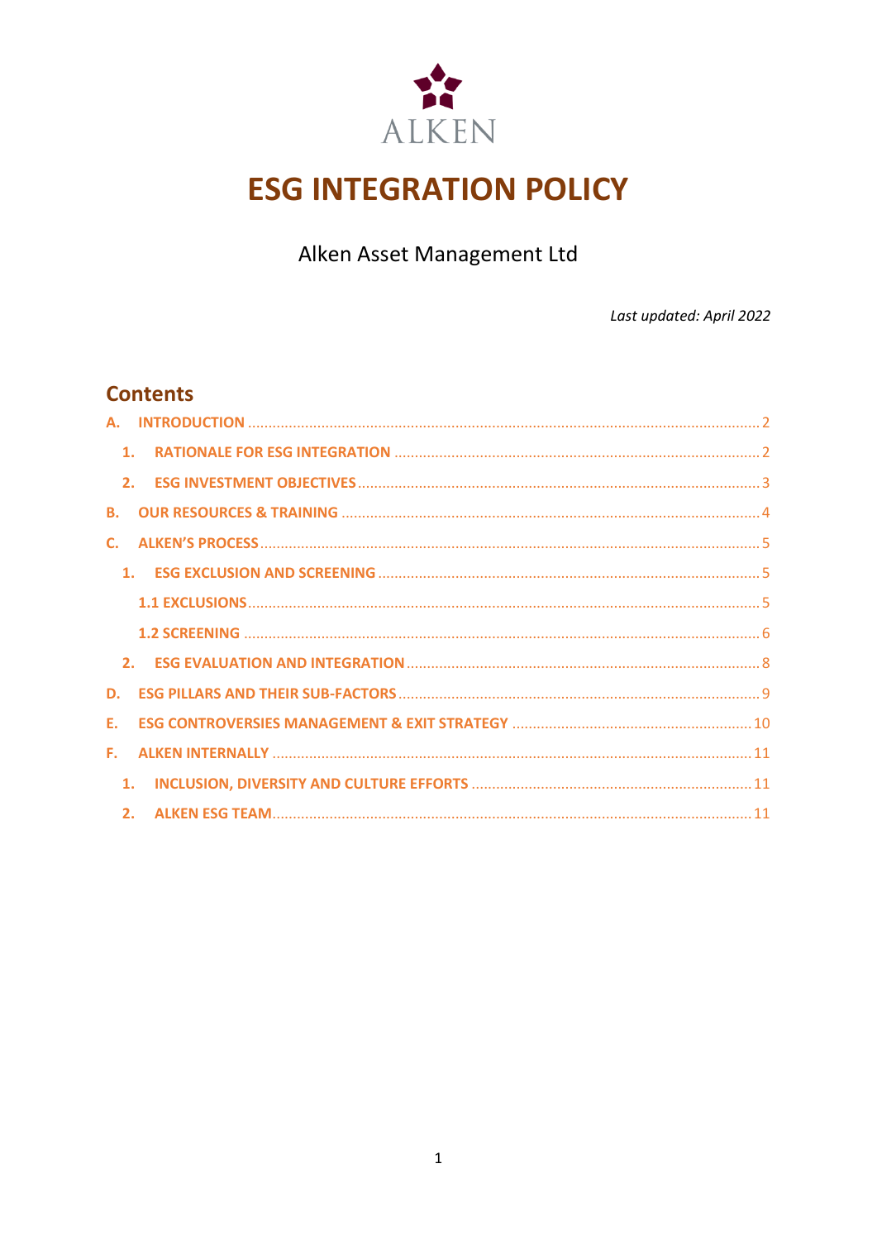

# **ESG INTEGRATION POLICY**

Alken Asset Management Ltd

Last updated: April 2022

### **Contents**

| $\mathbf{1}$ . |    |  |
|----------------|----|--|
|                | 2. |  |
| <b>B.</b>      |    |  |
| $\mathsf{C}$ . |    |  |
|                |    |  |
|                |    |  |
|                |    |  |
|                |    |  |
| D.             |    |  |
| E.             |    |  |
| F.             |    |  |
| 1.             |    |  |
|                |    |  |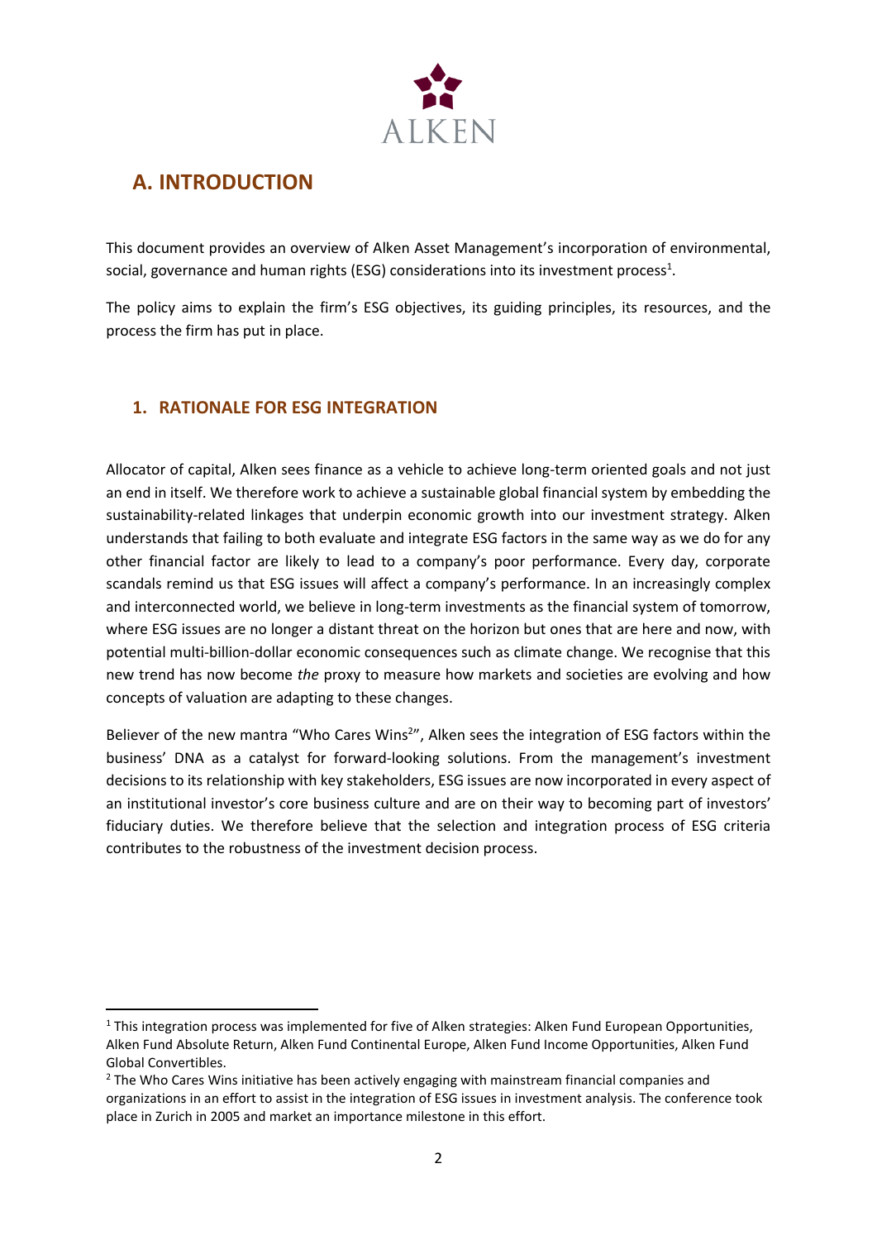

## <span id="page-1-0"></span>**A. INTRODUCTION**

This document provides an overview of Alken Asset Management's incorporation of environmental, social, governance and human rights (ESG) considerations into its investment process<sup>1</sup>.

The policy aims to explain the firm's ESG objectives, its guiding principles, its resources, and the process the firm has put in place.

### <span id="page-1-1"></span>**1. RATIONALE FOR ESG INTEGRATION**

Allocator of capital, Alken sees finance as a vehicle to achieve long-term oriented goals and not just an end in itself. We therefore work to achieve a sustainable global financial system by embedding the sustainability-related linkages that underpin economic growth into our investment strategy. Alken understands that failing to both evaluate and integrate ESG factors in the same way as we do for any other financial factor are likely to lead to a company's poor performance. Every day, corporate scandals remind us that ESG issues will affect a company's performance. In an increasingly complex and interconnected world, we believe in long-term investments as the financial system of tomorrow, where ESG issues are no longer a distant threat on the horizon but ones that are here and now, with potential multi-billion-dollar economic consequences such as climate change. We recognise that this new trend has now become *the* proxy to measure how markets and societies are evolving and how concepts of valuation are adapting to these changes.

Believer of the new mantra "Who Cares Wins<sup>2</sup>", Alken sees the integration of ESG factors within the business' DNA as a catalyst for forward-looking solutions. From the management's investment decisions to its relationship with key stakeholders, ESG issues are now incorporated in every aspect of an institutional investor's core business culture and are on their way to becoming part of investors' fiduciary duties. We therefore believe that the selection and integration process of ESG criteria contributes to the robustness of the investment decision process.

 $1$  This integration process was implemented for five of Alken strategies: Alken Fund European Opportunities, Alken Fund Absolute Return, Alken Fund Continental Europe, Alken Fund Income Opportunities, Alken Fund Global Convertibles.

<sup>&</sup>lt;sup>2</sup> The Who Cares Wins initiative has been actively engaging with mainstream financial companies and organizations in an effort to assist in the integration of ESG issues in investment analysis. The conference took place in Zurich in 2005 and market an importance milestone in this effort.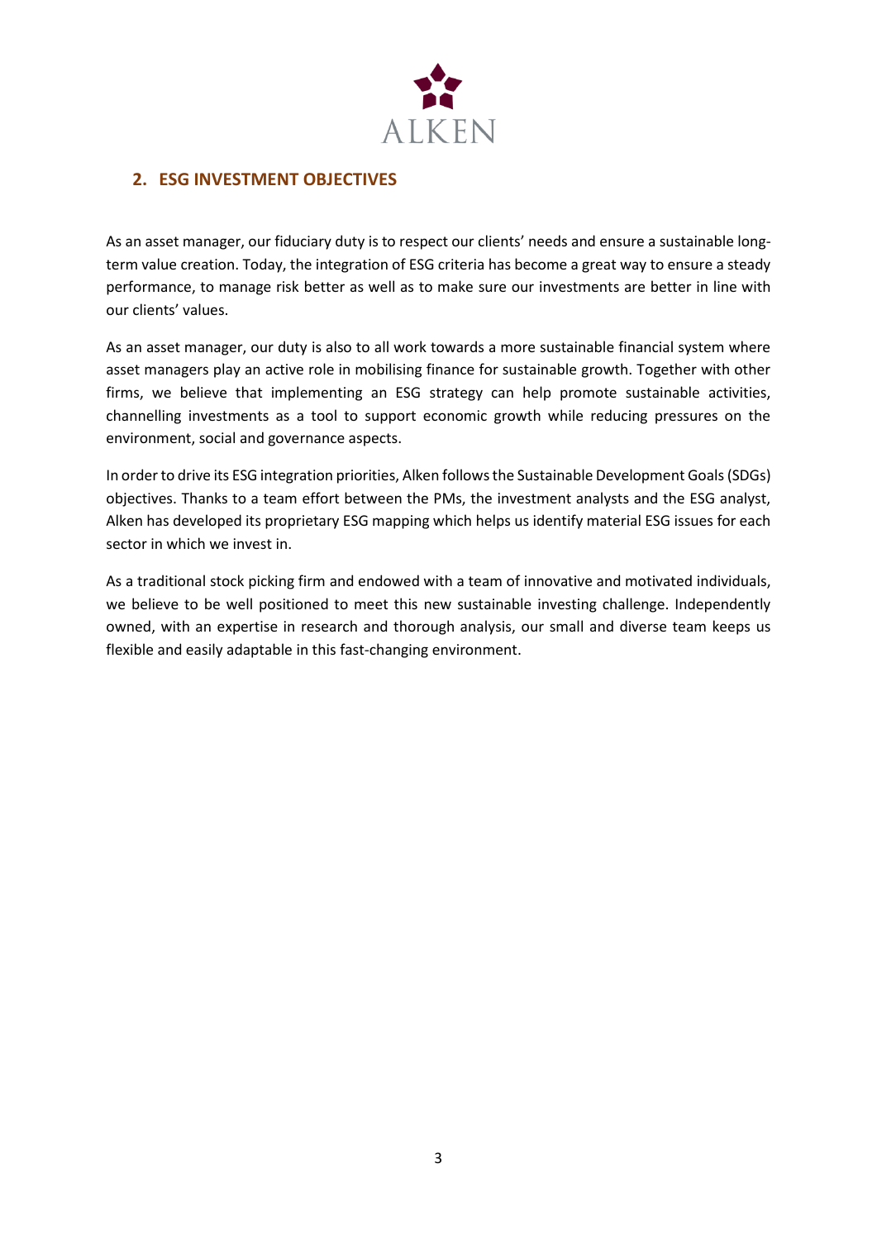

### <span id="page-2-0"></span>**2. ESG INVESTMENT OBJECTIVES**

As an asset manager, our fiduciary duty is to respect our clients' needs and ensure a sustainable longterm value creation. Today, the integration of ESG criteria has become a great way to ensure a steady performance, to manage risk better as well as to make sure our investments are better in line with our clients' values.

As an asset manager, our duty is also to all work towards a more sustainable financial system where asset managers play an active role in mobilising finance for sustainable growth. Together with other firms, we believe that implementing an ESG strategy can help promote sustainable activities, channelling investments as a tool to support economic growth while reducing pressures on the environment, social and governance aspects.

In order to drive its ESG integration priorities, Alken follows the Sustainable Development Goals (SDGs) objectives. Thanks to a team effort between the PMs, the investment analysts and the ESG analyst, Alken has developed its proprietary ESG mapping which helps us identify material ESG issues for each sector in which we invest in.

As a traditional stock picking firm and endowed with a team of innovative and motivated individuals, we believe to be well positioned to meet this new sustainable investing challenge. Independently owned, with an expertise in research and thorough analysis, our small and diverse team keeps us flexible and easily adaptable in this fast-changing environment.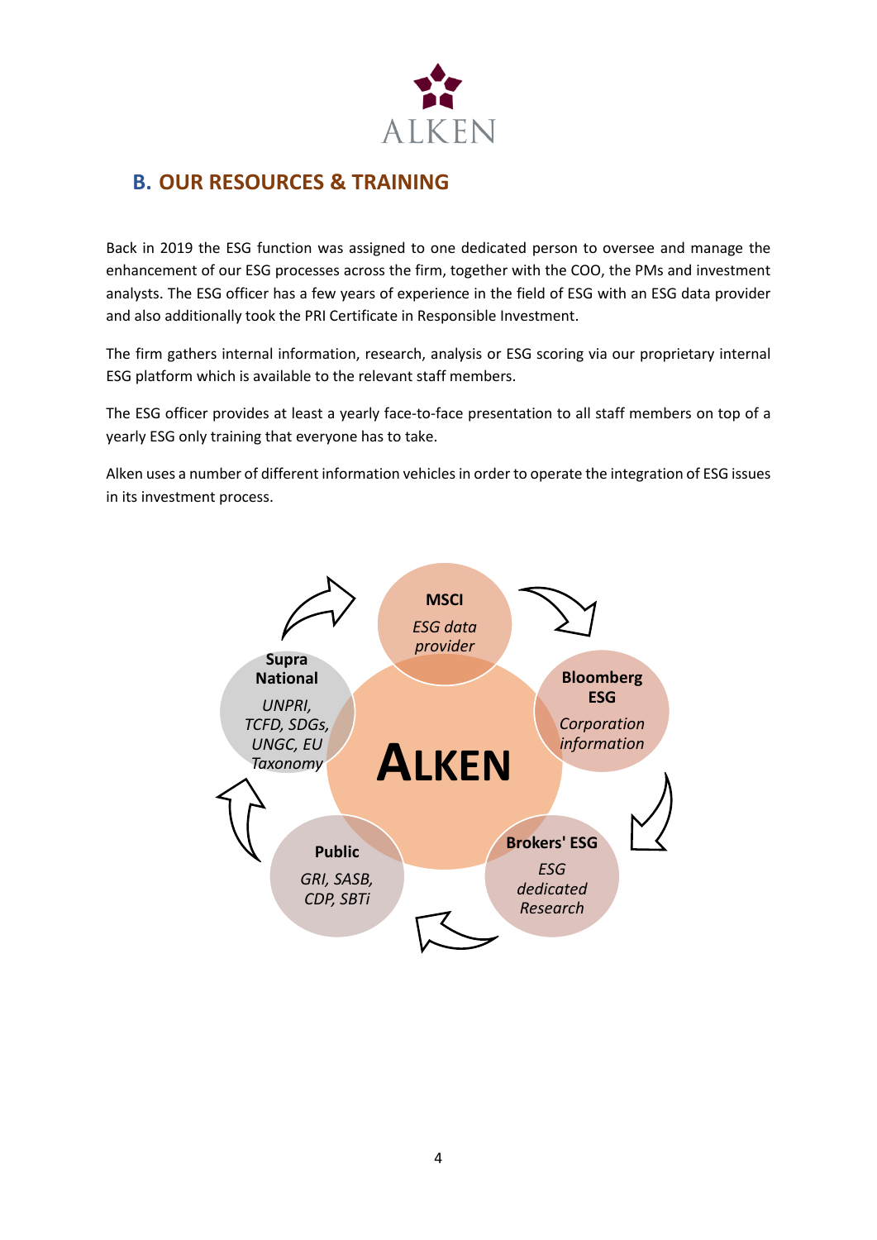

### <span id="page-3-0"></span>**B. OUR RESOURCES & TRAINING**

Back in 2019 the ESG function was assigned to one dedicated person to oversee and manage the enhancement of our ESG processes across the firm, together with the COO, the PMs and investment analysts. The ESG officer has a few years of experience in the field of ESG with an ESG data provider and also additionally took the PRI Certificate in Responsible Investment.

The firm gathers internal information, research, analysis or ESG scoring via our proprietary internal ESG platform which is available to the relevant staff members.

The ESG officer provides at least a yearly face-to-face presentation to all staff members on top of a yearly ESG only training that everyone has to take.

Alken uses a number of different information vehicles in order to operate the integration of ESG issues in its investment process.

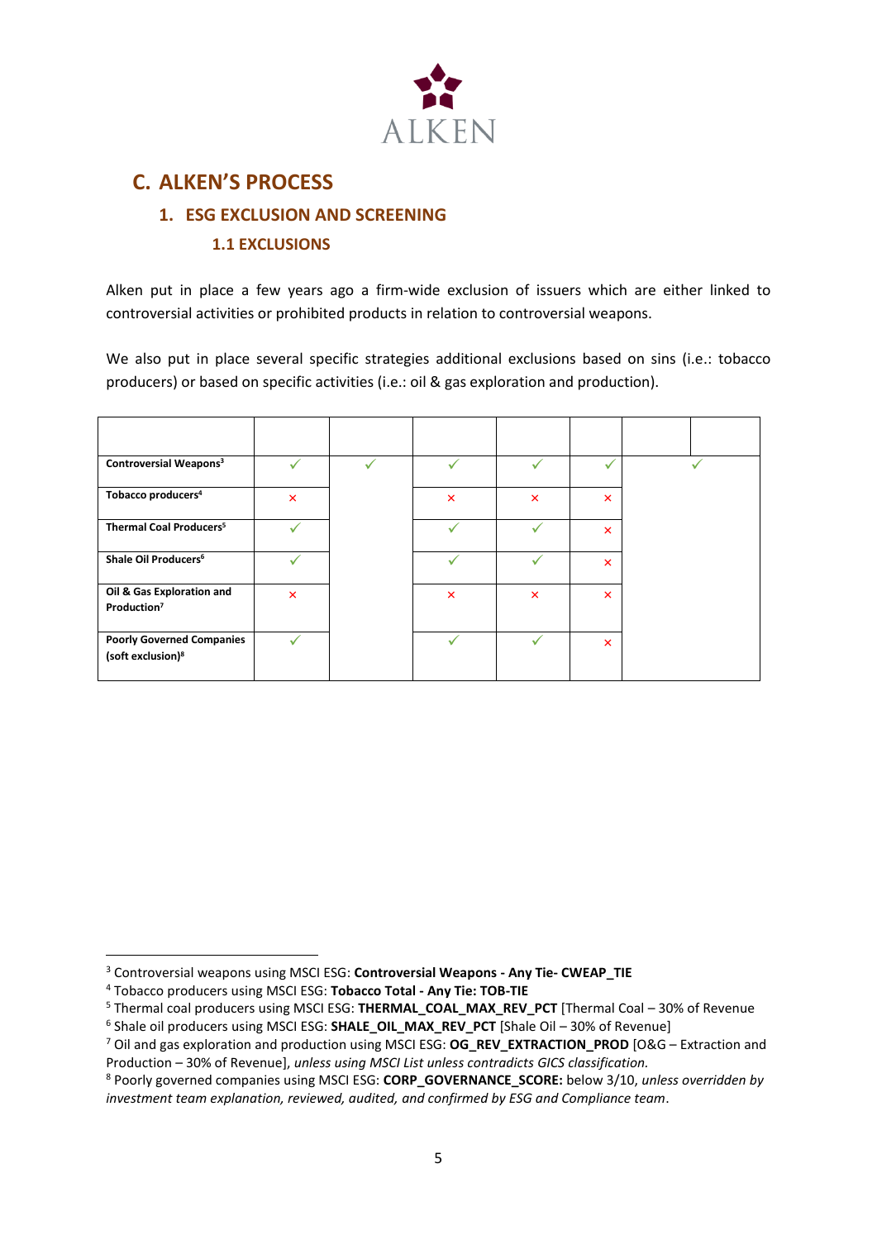

### <span id="page-4-1"></span><span id="page-4-0"></span>**C. ALKEN'S PROCESS**

### **1. ESG EXCLUSION AND SCREENING 1.1 EXCLUSIONS**

<span id="page-4-2"></span>Alken put in place a few years ago a firm-wide exclusion of issuers which are either linked to controversial activities or prohibited products in relation to controversial weapons.

We also put in place several specific strategies additional exclusions based on sins (i.e.: tobacco producers) or based on specific activities (i.e.: oil & gas exploration and production).

| Controversial Weapons <sup>3</sup>                                |                           | ✓ | ✓                         | ✓                         | $\checkmark$              |  |
|-------------------------------------------------------------------|---------------------------|---|---------------------------|---------------------------|---------------------------|--|
| Tobacco producers <sup>4</sup>                                    | $\boldsymbol{\mathsf{x}}$ |   | $\pmb{\times}$            | $\boldsymbol{\mathsf{x}}$ | ×                         |  |
| Thermal Coal Producers <sup>5</sup>                               |                           |   | ✓                         |                           | $\boldsymbol{\mathsf{x}}$ |  |
| Shale Oil Producers <sup>6</sup>                                  |                           |   | ✓                         |                           | ×                         |  |
| Oil & Gas Exploration and<br>Production <sup>7</sup>              | $\mathsf{x}$              |   | $\boldsymbol{\mathsf{x}}$ | $\boldsymbol{\mathsf{x}}$ | $\boldsymbol{\mathsf{x}}$ |  |
| <b>Poorly Governed Companies</b><br>(soft exclusion) <sup>8</sup> |                           |   |                           | ✓                         | $\boldsymbol{\mathsf{x}}$ |  |

<sup>3</sup> Controversial weapons using MSCI ESG: **Controversial Weapons - Any Tie- CWEAP\_TIE**

<sup>4</sup> Tobacco producers using MSCI ESG: **Tobacco Total - Any Tie: TOB-TIE**

<sup>5</sup> Thermal coal producers using MSCI ESG: **THERMAL\_COAL\_MAX\_REV\_PCT** [Thermal Coal – 30% of Revenue

<sup>&</sup>lt;sup>6</sup> Shale oil producers using MSCI ESG: SHALE\_OIL\_MAX\_REV\_PCT [Shale Oil - 30% of Revenue]

<sup>&</sup>lt;sup>7</sup> Oil and gas exploration and production using MSCI ESG: **OG\_REV\_EXTRACTION\_PROD** [O&G – Extraction and Production – 30% of Revenue], *unless using MSCI List unless contradicts GICS classification.*

<sup>8</sup> Poorly governed companies using MSCI ESG: **CORP\_GOVERNANCE\_SCORE:** below 3/10, *unless overridden by investment team explanation, reviewed, audited, and confirmed by ESG and Compliance team*.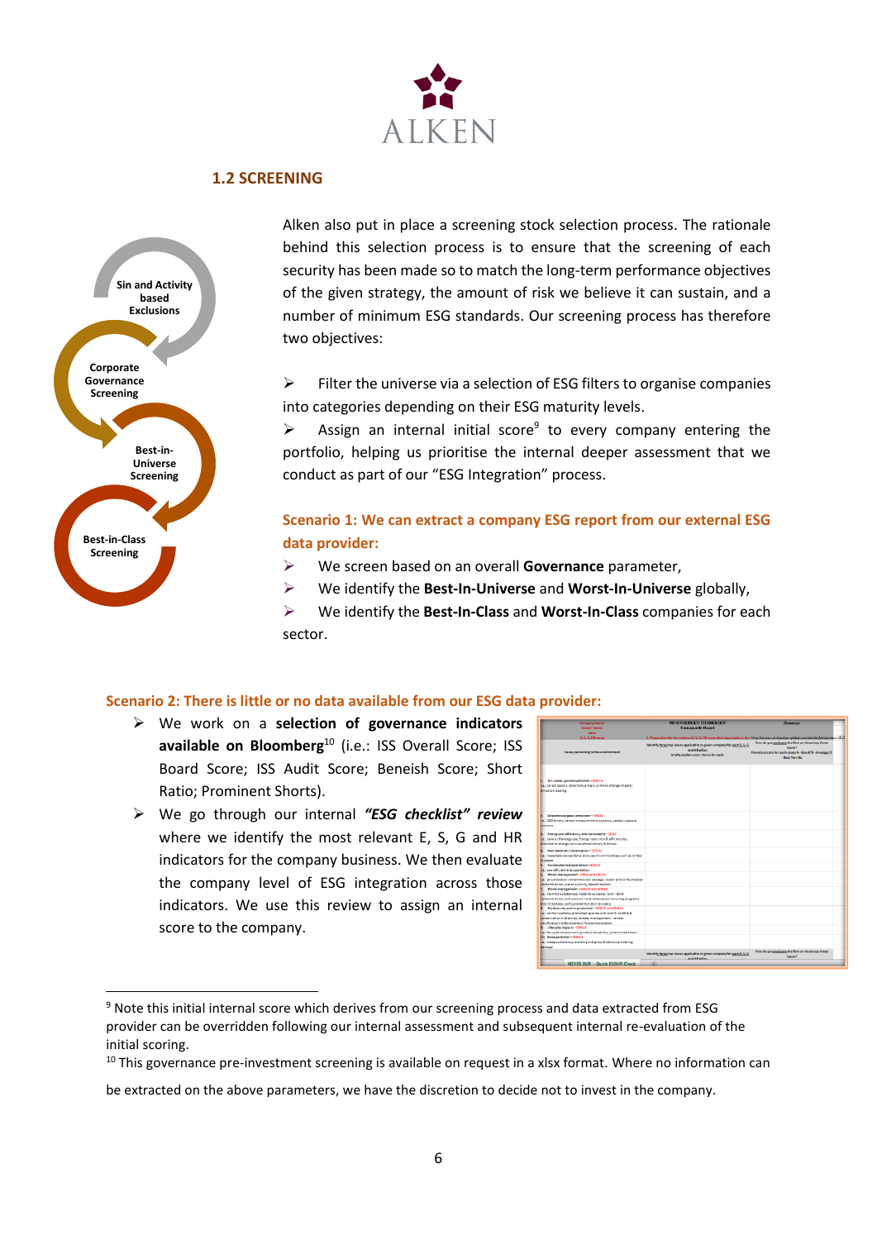

#### **1.2 SCREENING**

<span id="page-5-0"></span>

Alken also put in place a screening stock selection process. The rationale behind this selection process is to ensure that the screening of each security has been made so to match the long-term performance objectives of the given strategy, the amount of risk we believe it can sustain, and a number of minimum ESG standards. Our screening process has therefore two objectives:

 $\triangleright$  Filter the universe via a selection of ESG filters to organise companies into categories depending on their ESG maturity levels.

 $\triangleright$  Assign an internal initial score<sup>9</sup> to every company entering the portfolio, helping us prioritise the internal deeper assessment that we conduct as part of our "ESG Integration" process.

#### **Scenario 1: We can extract a company ESG report from our external ESG data provider:**

- ➢ We screen based on an overall **Governance** parameter,
- ➢ We identify the **Best-In-Universe** and **Worst-In-Universe** globally,
- ➢ We identify the **Best-In-Class** and **Worst-In-Class** companies for each sector.

#### **Scenario 2: There is little or no data available from our ESG data provider:**

- ➢ We work on a **selection of governance indicators** available on Bloomberg<sup>10</sup> (i.e.: ISS Overall Score; ISS Board Score; ISS Audit Score; Beneish Score; Short Ratio; Prominent Shorts).
- ➢ We go through our internal *"ESG checklist" review* where we identify the most relevant E, S, G and HR indicators for the company business. We then evaluate the company level of ESG integration across those indicators. We use this review to assign an internal score to the company.

| <b>Date:</b><br>E. S. G. Hill issues<br>1. Please identify the material E, S, G, HE issues that may relate to the https://stories.pinduoduo-global.com/articles/pinduoduo-2020<br>How do you evaluate the firm on those top three<br>Identify three top issues applicable to given company for each E, S, G<br>iccused?<br>and HR pillar.<br>lawes pertaining to the environment<br>Provide a score for each issue: A - Good/ B - Average/ C<br>briefly explain your choice for each.<br>- Bad/ No info<br>1. Air, water, ground pollution-5DG15<br>Le .: air emissions; alternative fuels; climate change impact;<br>emission trading<br>2. Greenhouse gases emissions - 10G13<br>Le : CO2 levels, carbon measurement systems, carbon capture<br>Evereme<br>Energy use, efficiency, and renewables-\$DG7<br>B.<br>Ee: Levels of energy use: Energy reduction & efficiencies,<br>alternative energy sources photovoltaic, biomass<br>4. Raw materials consumption - SDG12<br>Le.: materials stewardship and use of commodities such as timber<br><b>Dr</b> paper<br>5. Sustainable transportation-50612<br>Le. aco-afficient transportation<br>6. Water management - SDG6 and SDG14<br>i.e.: proundwater contamination, sewape, ocean and or freshwater<br>contamination, water scarcity, desalinisation<br>7. Waste management - SDG15 and SDG14<br>i.e.: harmful substances, hazardous waste, land-land<br>contamination, soil erosion, land restoration recycling programs<br>and initiatives, spills prevention and recovery<br>8. Biodiversity and its protection - SDG15 and SDG14<br>Le.: animal welfare; protected species and land & wildlife & | Symmary | <b>MEYED BUDGED TECHNOLOGY</b> | <b>Company Name:</b>                                  |
|----------------------------------------------------------------------------------------------------------------------------------------------------------------------------------------------------------------------------------------------------------------------------------------------------------------------------------------------------------------------------------------------------------------------------------------------------------------------------------------------------------------------------------------------------------------------------------------------------------------------------------------------------------------------------------------------------------------------------------------------------------------------------------------------------------------------------------------------------------------------------------------------------------------------------------------------------------------------------------------------------------------------------------------------------------------------------------------------------------------------------------------------------------------------------------------------------------------------------------------------------------------------------------------------------------------------------------------------------------------------------------------------------------------------------------------------------------------------------------------------------------------------------------------------------------------------------------------------------------------------------------------------------------|---------|--------------------------------|-------------------------------------------------------|
|                                                                                                                                                                                                                                                                                                                                                                                                                                                                                                                                                                                                                                                                                                                                                                                                                                                                                                                                                                                                                                                                                                                                                                                                                                                                                                                                                                                                                                                                                                                                                                                                                                                          |         | <b>Emmanuelle Haaok</b>        | <b>Analyst Name:</b>                                  |
|                                                                                                                                                                                                                                                                                                                                                                                                                                                                                                                                                                                                                                                                                                                                                                                                                                                                                                                                                                                                                                                                                                                                                                                                                                                                                                                                                                                                                                                                                                                                                                                                                                                          |         |                                |                                                       |
|                                                                                                                                                                                                                                                                                                                                                                                                                                                                                                                                                                                                                                                                                                                                                                                                                                                                                                                                                                                                                                                                                                                                                                                                                                                                                                                                                                                                                                                                                                                                                                                                                                                          |         |                                |                                                       |
|                                                                                                                                                                                                                                                                                                                                                                                                                                                                                                                                                                                                                                                                                                                                                                                                                                                                                                                                                                                                                                                                                                                                                                                                                                                                                                                                                                                                                                                                                                                                                                                                                                                          |         |                                |                                                       |
|                                                                                                                                                                                                                                                                                                                                                                                                                                                                                                                                                                                                                                                                                                                                                                                                                                                                                                                                                                                                                                                                                                                                                                                                                                                                                                                                                                                                                                                                                                                                                                                                                                                          |         |                                |                                                       |
|                                                                                                                                                                                                                                                                                                                                                                                                                                                                                                                                                                                                                                                                                                                                                                                                                                                                                                                                                                                                                                                                                                                                                                                                                                                                                                                                                                                                                                                                                                                                                                                                                                                          |         |                                |                                                       |
|                                                                                                                                                                                                                                                                                                                                                                                                                                                                                                                                                                                                                                                                                                                                                                                                                                                                                                                                                                                                                                                                                                                                                                                                                                                                                                                                                                                                                                                                                                                                                                                                                                                          |         |                                |                                                       |
|                                                                                                                                                                                                                                                                                                                                                                                                                                                                                                                                                                                                                                                                                                                                                                                                                                                                                                                                                                                                                                                                                                                                                                                                                                                                                                                                                                                                                                                                                                                                                                                                                                                          |         |                                |                                                       |
|                                                                                                                                                                                                                                                                                                                                                                                                                                                                                                                                                                                                                                                                                                                                                                                                                                                                                                                                                                                                                                                                                                                                                                                                                                                                                                                                                                                                                                                                                                                                                                                                                                                          |         |                                |                                                       |
|                                                                                                                                                                                                                                                                                                                                                                                                                                                                                                                                                                                                                                                                                                                                                                                                                                                                                                                                                                                                                                                                                                                                                                                                                                                                                                                                                                                                                                                                                                                                                                                                                                                          |         |                                |                                                       |
|                                                                                                                                                                                                                                                                                                                                                                                                                                                                                                                                                                                                                                                                                                                                                                                                                                                                                                                                                                                                                                                                                                                                                                                                                                                                                                                                                                                                                                                                                                                                                                                                                                                          |         |                                |                                                       |
|                                                                                                                                                                                                                                                                                                                                                                                                                                                                                                                                                                                                                                                                                                                                                                                                                                                                                                                                                                                                                                                                                                                                                                                                                                                                                                                                                                                                                                                                                                                                                                                                                                                          |         |                                |                                                       |
|                                                                                                                                                                                                                                                                                                                                                                                                                                                                                                                                                                                                                                                                                                                                                                                                                                                                                                                                                                                                                                                                                                                                                                                                                                                                                                                                                                                                                                                                                                                                                                                                                                                          |         |                                |                                                       |
|                                                                                                                                                                                                                                                                                                                                                                                                                                                                                                                                                                                                                                                                                                                                                                                                                                                                                                                                                                                                                                                                                                                                                                                                                                                                                                                                                                                                                                                                                                                                                                                                                                                          |         |                                |                                                       |
|                                                                                                                                                                                                                                                                                                                                                                                                                                                                                                                                                                                                                                                                                                                                                                                                                                                                                                                                                                                                                                                                                                                                                                                                                                                                                                                                                                                                                                                                                                                                                                                                                                                          |         |                                |                                                       |
|                                                                                                                                                                                                                                                                                                                                                                                                                                                                                                                                                                                                                                                                                                                                                                                                                                                                                                                                                                                                                                                                                                                                                                                                                                                                                                                                                                                                                                                                                                                                                                                                                                                          |         |                                |                                                       |
|                                                                                                                                                                                                                                                                                                                                                                                                                                                                                                                                                                                                                                                                                                                                                                                                                                                                                                                                                                                                                                                                                                                                                                                                                                                                                                                                                                                                                                                                                                                                                                                                                                                          |         |                                |                                                       |
|                                                                                                                                                                                                                                                                                                                                                                                                                                                                                                                                                                                                                                                                                                                                                                                                                                                                                                                                                                                                                                                                                                                                                                                                                                                                                                                                                                                                                                                                                                                                                                                                                                                          |         |                                |                                                       |
|                                                                                                                                                                                                                                                                                                                                                                                                                                                                                                                                                                                                                                                                                                                                                                                                                                                                                                                                                                                                                                                                                                                                                                                                                                                                                                                                                                                                                                                                                                                                                                                                                                                          |         |                                | conservation initiatives; forests management - timber |
| certification/deforestation/forest restoration.                                                                                                                                                                                                                                                                                                                                                                                                                                                                                                                                                                                                                                                                                                                                                                                                                                                                                                                                                                                                                                                                                                                                                                                                                                                                                                                                                                                                                                                                                                                                                                                                          |         |                                |                                                       |
| 9. Lifecycle impacts - SDG12                                                                                                                                                                                                                                                                                                                                                                                                                                                                                                                                                                                                                                                                                                                                                                                                                                                                                                                                                                                                                                                                                                                                                                                                                                                                                                                                                                                                                                                                                                                                                                                                                             |         |                                |                                                       |
| Le: life cycle assessment, product durability, product take back                                                                                                                                                                                                                                                                                                                                                                                                                                                                                                                                                                                                                                                                                                                                                                                                                                                                                                                                                                                                                                                                                                                                                                                                                                                                                                                                                                                                                                                                                                                                                                                         |         |                                |                                                       |
| 10. Noise pollution - SDG15                                                                                                                                                                                                                                                                                                                                                                                                                                                                                                                                                                                                                                                                                                                                                                                                                                                                                                                                                                                                                                                                                                                                                                                                                                                                                                                                                                                                                                                                                                                                                                                                                              |         |                                |                                                       |
| Le.: sleep turbulence, building and ground vibrance, hearing<br>damage                                                                                                                                                                                                                                                                                                                                                                                                                                                                                                                                                                                                                                                                                                                                                                                                                                                                                                                                                                                                                                                                                                                                                                                                                                                                                                                                                                                                                                                                                                                                                                                   |         |                                |                                                       |
| How do you evaluate the firm on those too three<br>Identify three top issues applicable to given company for each E.S.G.<br>issues?<br>and HR nillar                                                                                                                                                                                                                                                                                                                                                                                                                                                                                                                                                                                                                                                                                                                                                                                                                                                                                                                                                                                                                                                                                                                                                                                                                                                                                                                                                                                                                                                                                                     |         |                                |                                                       |
| ®<br><b>MEYER BUR - Quick ESGHR Check</b>                                                                                                                                                                                                                                                                                                                                                                                                                                                                                                                                                                                                                                                                                                                                                                                                                                                                                                                                                                                                                                                                                                                                                                                                                                                                                                                                                                                                                                                                                                                                                                                                                |         |                                |                                                       |

<sup>9</sup> Note this initial internal score which derives from our screening process and data extracted from ESG provider can be overridden following our internal assessment and subsequent internal re-evaluation of the initial scoring.

<sup>&</sup>lt;sup>10</sup> This governance pre-investment screening is available on request in a xlsx format. Where no information can

be extracted on the above parameters, we have the discretion to decide not to invest in the company.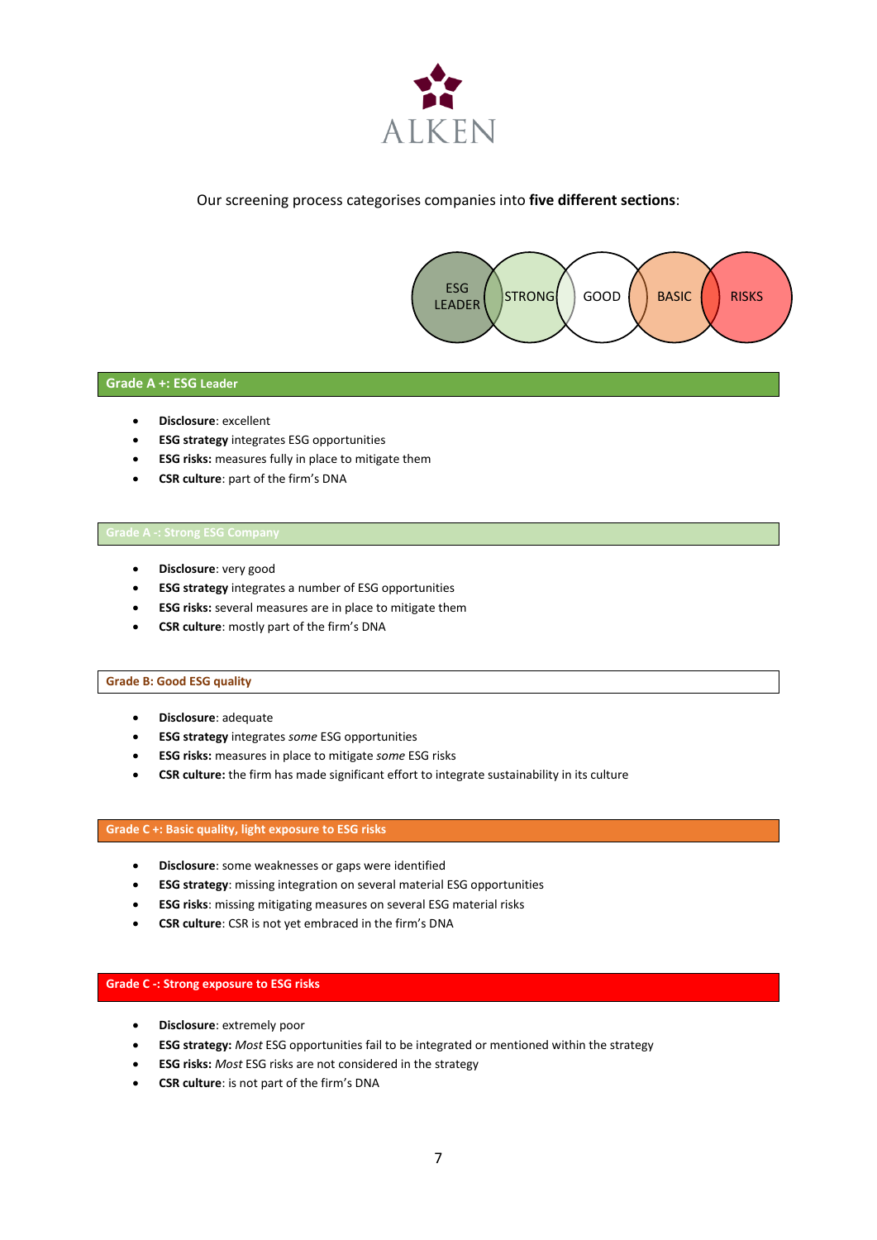

#### Our screening process categorises companies into **five different sections**:



#### **Grade A +: ESG Leader**

- **Disclosure**: excellent
- **ESG strategy** integrates ESG opportunities
- **ESG risks:** measures fully in place to mitigate them
- **CSR culture**: part of the firm's DNA

- **Disclosure**: very good
- **ESG strategy** integrates a number of ESG opportunities
- **ESG risks:** several measures are in place to mitigate them
- **CSR culture**: mostly part of the firm's DNA

#### **Grade B: Good ESG quality**

- **Disclosure**: adequate
- **ESG strategy** integrates *some* ESG opportunities
- **ESG risks:** measures in place to mitigate *some* ESG risks
- **CSR culture:** the firm has made significant effort to integrate sustainability in its culture

#### **Grade C +: Basic quality, light exposure to ESG risks**

- **Disclosure**: some weaknesses or gaps were identified
- **ESG strategy**: missing integration on several material ESG opportunities
- **ESG risks**: missing mitigating measures on several ESG material risks
- **CSR culture**: CSR is not yet embraced in the firm's DNA

#### **Grade C -: Strong exposure to ESG risks**

- **Disclosure**: extremely poor
- **ESG strategy:** *Most* ESG opportunities fail to be integrated or mentioned within the strategy
- **ESG risks:** *Most* ESG risks are not considered in the strategy
- **CSR culture**: is not part of the firm's DNA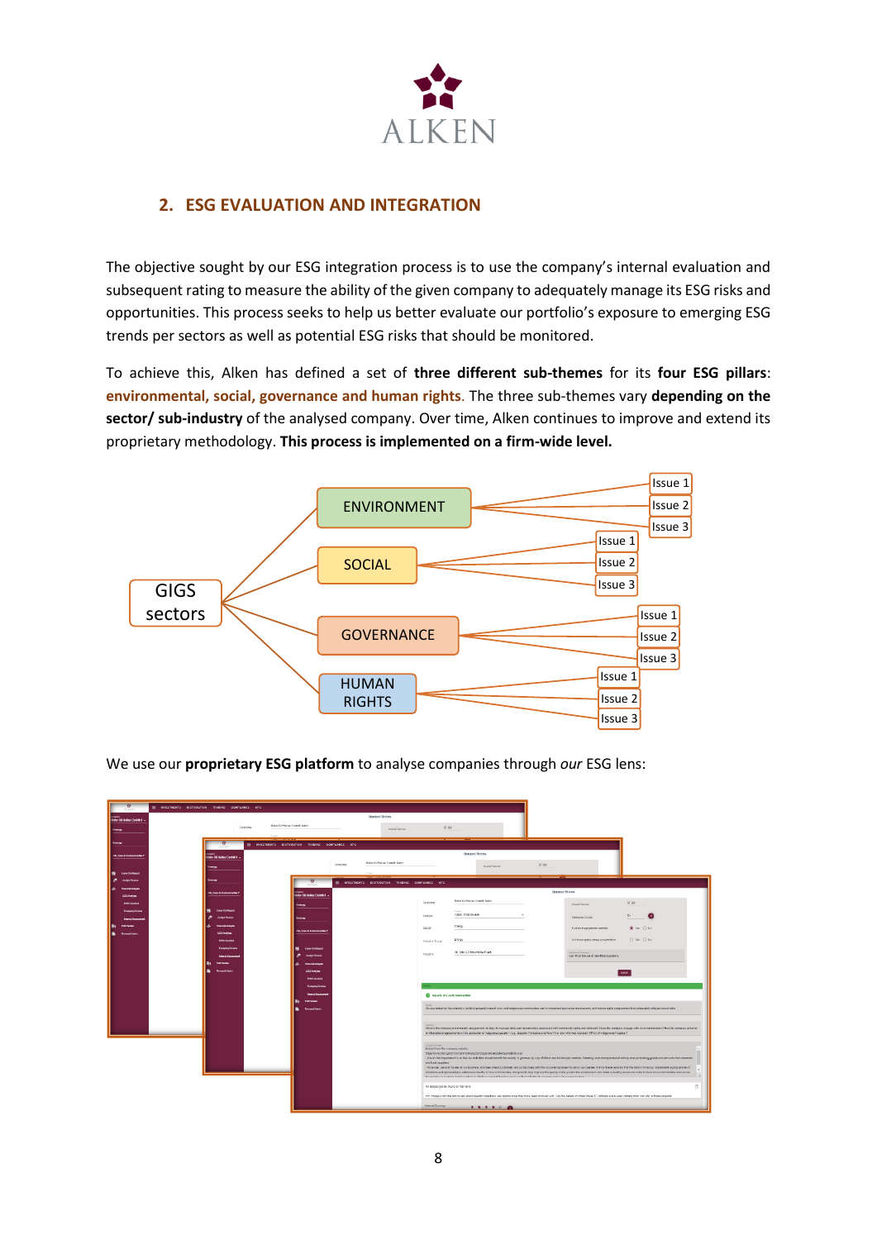

### <span id="page-7-0"></span>**2. ESG EVALUATION AND INTEGRATION**

The objective sought by our ESG integration process is to use the company's internal evaluation and subsequent rating to measure the ability of the given company to adequately manage its ESG risks and opportunities. This process seeks to help us better evaluate our portfolio's exposure to emerging ESG trends per sectors as well as potential ESG risks that should be monitored.

To achieve this, Alken has defined a set of **three different sub-themes** for its **four ESG pillars**: **environmental, social, governance and human rights**. The three sub-themes vary **depending on the sector/ sub-industry** of the analysed company. Over time, Alken continues to improve and extend its proprietary methodology. **This process is implemented on a firm-wide level.**



We use our **proprietary ESG platform** to analyse companies through *our* ESG lens:

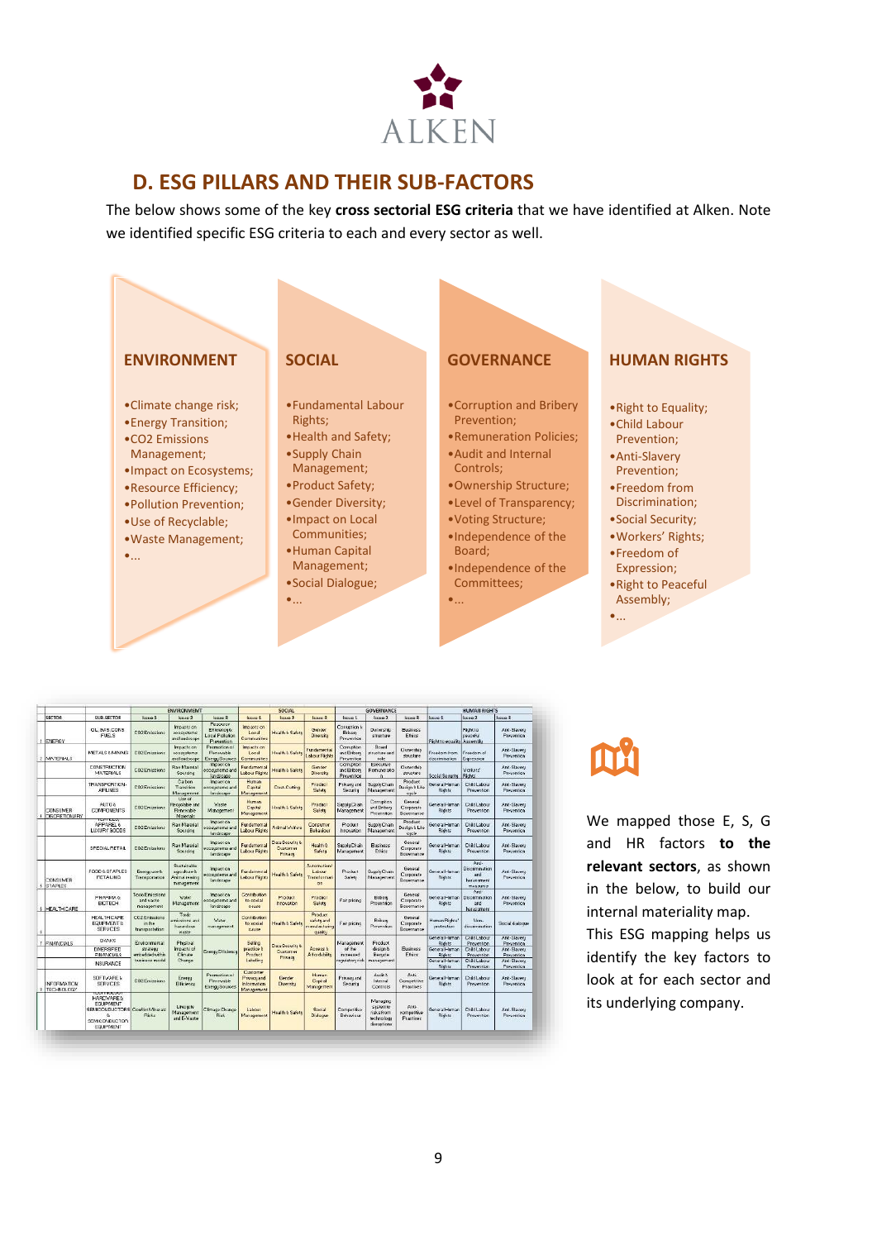

### <span id="page-8-0"></span>**D. ESG PILLARS AND THEIR SUB-FACTORS**

The below shows some of the key **cross sectorial ESG criteria** that we have identified at Alken. Note we identified specific ESG criteria to each and every sector as well.



|          |                                  |                                                                                                                                 | <b>ENVIRONMEMT</b>                                                              |                                                              |                                                                        | <b>SOCIAL</b>                                             |                                         |                                                     | <b>GOVERNANCE</b>                             |                                                                |                                            | <b>HUMAN RIGHTS</b>                |                                                               |                                    |
|----------|----------------------------------|---------------------------------------------------------------------------------------------------------------------------------|---------------------------------------------------------------------------------|--------------------------------------------------------------|------------------------------------------------------------------------|-----------------------------------------------------------|-----------------------------------------|-----------------------------------------------------|-----------------------------------------------|----------------------------------------------------------------|--------------------------------------------|------------------------------------|---------------------------------------------------------------|------------------------------------|
|          | <b>SECTOR</b>                    | SUR-SECTOR                                                                                                                      | <b>Bisue 1</b>                                                                  | Issue 2                                                      | <b>Issue 3</b>                                                         | fession 1                                                 | Issue 2                                 | Issue 3                                             | Issue 1                                       | Issue 2                                                        | Issue 3                                    | Issue's                            | Issue 2                                                       | Issue 3                            |
|          | 1 FAFBOY                         | OL GAS CONS<br><b>FUELS</b>                                                                                                     | CD2 Emissions                                                                   | Impacts on<br>constants<br>and landscape                     | Resource<br>Elliciones &<br><b>Local Pollution</b><br>Prevention       | implaces on<br>Local<br>Communities                       | Health & Safety                         | Gender<br>Diversity                                 | Consolice &<br>Eilvert<br>Prevention          | Dunorship<br>structure                                         | <b>Eucheco</b><br>Ethics                   | Fisht to equator Assembly          | Fäsht to<br><b>Linesson</b>                                   | And-Blaueru<br><b>Presention</b>   |
|          | MATEFIALS                        | <b>METALS LIVINAS</b>                                                                                                           | CO2 Emissions                                                                   | <b>Impacticon</b><br>eonixstems<br>andlandscape              | Promotion of<br>Flemewable<br><b>Energy Sources</b>                    | <b>Impacts on</b><br>Local<br>Committee                   | <b>Health &amp; Salets</b>              | Fundamental<br>about Faght                          | Comuntion<br>and Einberg<br><b>Prevention</b> | Board<br>structure and<br>tole                                 | <b>Cismership</b><br>structure             | Freedom from<br>discrimination     | Freedom of<br>Expression                                      | Anti-Slaueru<br>Frevention         |
|          |                                  | <b>CONSTRUCTION</b><br>MATERIALS                                                                                                | CO2 Emissions                                                                   | <b>Raw Material</b><br>Sourcing                              | moaot on<br>ecopistent and<br>landocape                                | Fundamental<br>Labour Flights                             | Health & Safety                         | Gender<br>Diversity                                 | Comption<br>and Eribert<br>Prevention         | Executive<br>Remuneratio<br>n.                                 | <b>Cistotship</b><br>structure             | Social Separity Flights            | Vorkers'                                                      | And -Slavery<br>Prevention         |
|          |                                  | TRANSPORTION<br><b>AFLINES</b>                                                                                                  | CO2 Emissions                                                                   | <b>Carbon</b><br>Transition<br>f-lan.exement                 | ing action.<br>economisms and<br>tandacap»                             | Human<br>Capital<br>Management                            | Dout-Cutting                            | Product<br>Safety                                   | Privace and<br>Security                       | Supply Chain<br>Management                                     | <b>Product</b><br>Design b Life<br>cacle   | General Human<br>Rights            | Child Labour<br>Prevention                                    | And-Slauwru<br>Prevention          |
| CONSUMER | 4  DISCRETIONARY                 | ALITC &<br>CONFONENTS                                                                                                           | <b>CD2 Emissions</b>                                                            | Lise of<br><b>Becaudable and</b><br>Renewable<br>Materials   | Waste<br>Management                                                    | Human<br>Capital<br>Management                            | Health & Salets                         | Product<br>Saints                                   | Supply Chain<br>Management                    | Comption<br>and Briberg<br>Prevention                          | <b>Clemeral</b><br>Corporate<br>Governance | General Human<br><b>Flights</b>    | <b>ChildLabour</b><br>Prevention                              | Anti-Slauen<br><b>Frevention</b>   |
|          |                                  | <b>COURSE</b><br>APPAREL 6<br>LUXURY GOODS                                                                                      | CD2 Emiccions                                                                   | Raw Material<br>Sourcing                                     | mo action<br>econstants and<br>tandecape                               | <b>Fundamental</b><br>Labour Fághes                       | Arámal Molfare                          | Consumer<br>Behaviour                               | Product<br>Innovation                         | Supply Chain<br>Management                                     | Product:<br>Dasign & Life<br>cacle         | General Human<br><b>Rights</b>     | Ck4dLabour<br>Prepention                                      | And Slaueru<br><b>Presention</b>   |
|          |                                  | SPECIAL RETAIL                                                                                                                  | CD2 Emissions                                                                   | Raw Material<br>Sourcing                                     | impaction.<br>econstants and<br>landecape                              | Fundamental<br>Labour Fáshta                              | Data Security 6:<br>Dustomer<br>Privace | <b>Health &amp;</b><br>Safete                       | Supply Chain<br>Management                    | <b>Business</b><br>Ethiop                                      | General<br>Corporate<br>Governation        | General Human<br><b>Rights</b>     | CRAdLabour<br>Prevention                                      | And Staveru<br><b>Prevention</b>   |
|          | CNSUMER<br>5 STAPLES             | FOOD & STAPLES<br><b>FIETALING</b>                                                                                              | Energy use &<br>Transportation                                                  | Sustainable<br>agreedome its<br>Aremal rearing<br>management | implaction.<br><b><i><u>ecomplettu and</u></i></b><br><b>Landscape</b> | Fundamental<br>Labour Flights                             | Health & Safety                         | <b>Automation!</b><br>Libour<br>Transformat<br>on   | Product<br>Salets                             | Supply Chan<br>Management                                      | General<br>Conceste<br>Governance          | General Human<br><b>Rights</b>     | Arci-<br>Districtionation<br>erež.<br>harassment<br>measures. | Arei-Steueru<br>Freuention         |
|          | 6 HEALTH CARE                    | <b>FHARMA &amp;</b><br><b>EIOTECH</b>                                                                                           | Tosio Emissions<br>and waste<br>manapement                                      | Vated<br>Management                                          | moast on<br>ecopistent and<br>Tan doctage                              | Contribution<br>to social<br>pauge.                       | Product<br>Innovation                   | Product<br>Saide                                    | Fairpricing                                   | Erben<br>Prevention                                            | General<br>Corporate<br>Governation        | General Human<br>Rights            | And-<br><b>Discrimination</b><br>and<br>harassmere            | And -Sissens<br>Prevention         |
|          |                                  | HEALTH CAFE<br><b>EQUIPMENT &amp;</b><br>SERVICES.                                                                              | CO2 Emissions<br>in the<br>holistrogens if                                      | Toxic<br>missions and<br>harandous<br><b>WARD</b>            | Water<br>management                                                    | Dontribution<br>to social<br><b>Cause</b>                 | Health & Safety                         | Product<br>safets and<br>menutacturing<br>cass line | Fairpricing                                   | <b>Erbert</b><br>Prevention                                    | General<br>Corporate<br>Governance         | Human Rights'<br>probeption.       | Non-<br>discrimination                                        | Social dialocus                    |
|          | 7 FINANCIALS                     | <b>BANKS</b>                                                                                                                    | Environmental<br>Phaloal<br>Impacts of<br>strategy<br>Climate<br>eminded within |                                                              | Ening; Efficiency                                                      | <b>Seling</b><br>practice b<br>Product                    | Data Security &<br><b>Dustorner</b>     | <b>Access N</b><br>Alfordability                    | Management<br>46.00<br><b>DETRAINS</b>        | Product<br>design &<br>Escude:                                 | <b>Existingen</b><br>Ethics                | General Human<br>Rights            | <b>Châti, shour</b><br><b>Prevention</b>                      | Anti-Slavenu<br><b>Frevention</b>  |
|          |                                  | <b>DIVERSIFIED</b><br><b>FINANCIALS</b>                                                                                         |                                                                                 |                                                              |                                                                        |                                                           |                                         |                                                     |                                               |                                                                |                                            | General Human<br>Rights            | <b>Child Labour</b><br>Prevention                             | And - Slaveru<br><b>Prevention</b> |
|          |                                  | <b>INSURANCE</b>                                                                                                                | business model                                                                  | Change                                                       |                                                                        | Labeling                                                  | Privacy                                 |                                                     | re mulatoru risk                              | management                                                     |                                            | General Human<br><b>Bights</b>     | Châd Labour<br>Presention                                     | And-Slaueru<br><b>Freuention</b>   |
|          | <b>NEOFIAATICN</b><br>TECHNOLOGY | <b>SOFTWARE &amp;</b><br><b>SERVICES:</b>                                                                                       | CO2 Emissions                                                                   | <b>Energy</b><br>Ellisiencu                                  | Promotion of<br>Flemewable<br>Energy Sources                           | Customer<br><b>Privacuand</b><br>hiormation<br>Management | Gender<br>Diversity                     | Human<br>Capital<br>Management                      | <b>FINADLAN</b><br>Security                   | Audt b<br>Internal<br>Controls                                 | Anti-<br>Competitive<br><b>Practices</b>   | General Internant<br><b>Rights</b> | DiddLabout<br>Prevention                                      | Anh-Slavens<br>Frevention          |
|          |                                  | 122111-0222<br><b>HARDMARE &amp;</b><br>EDUPMENT<br>SEMIDONDUCTORS Conflict Minerals<br>ö.<br><b>SEMICONDUCTOR</b><br>EQUIPMENT | <b>Fisis</b>                                                                    | Lifecacle<br>Management<br>and E-Waste                       | Climage Change<br><b>Risk</b>                                          | Labour<br>Management                                      | <b>Health &amp; Safety</b>              | Social<br>Dialogue                                  | <b>Dompetitive</b><br>Behaviour               | Managing<br>sestemio<br>risks from<br>technology<br>dismotions | Anti-<br>competitive<br><b>Practices</b>   | General Human<br><b>Rights</b>     | <b>Châd Labour</b><br>Presention                              | And-Slaueru<br>Freuention          |

We mapped those E, S, G and HR factors **to the relevant sectors**, as shown in the below, to build our internal materiality map. This ESG mapping helps us identify the key factors to

look at for each sector and its underlying company.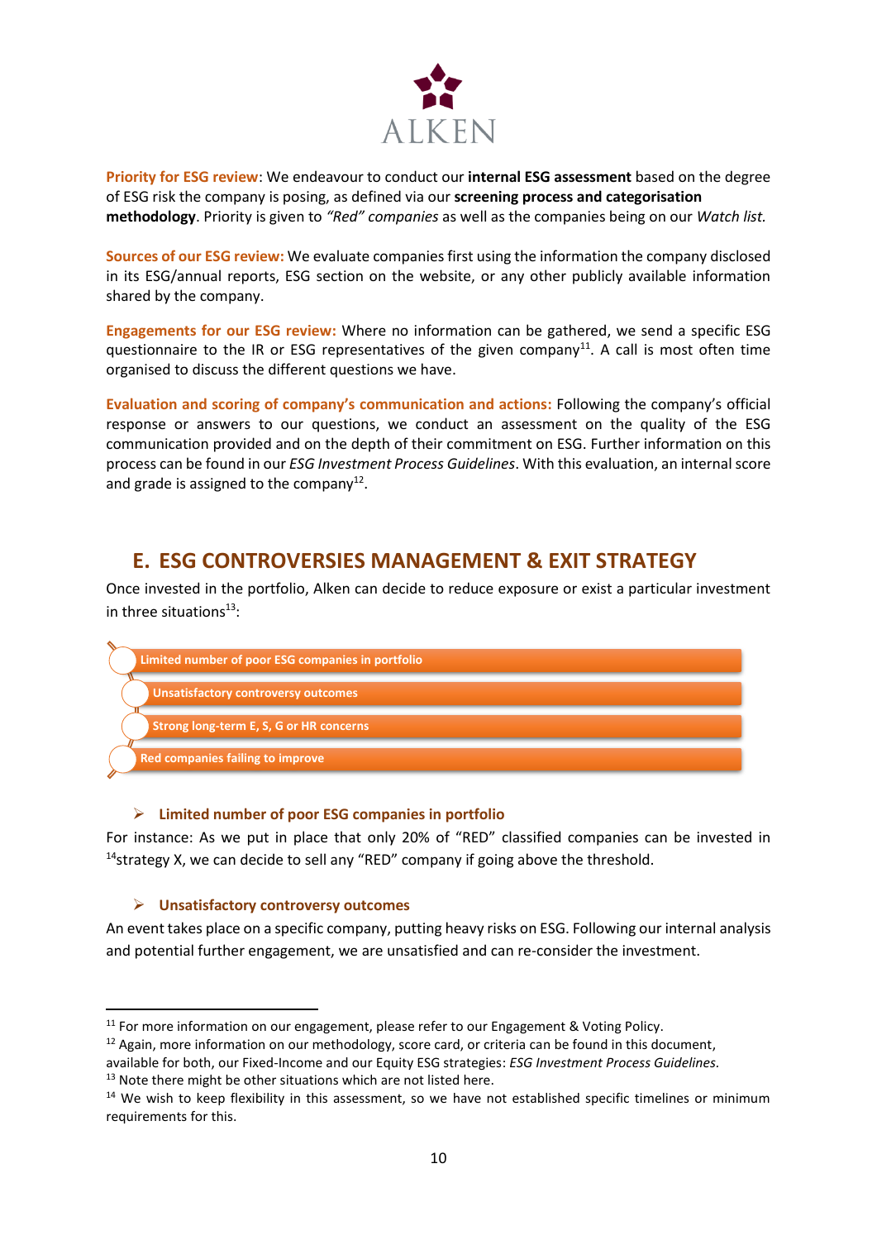

**Priority for ESG review**: We endeavour to conduct our **internal ESG assessment** based on the degree of ESG risk the company is posing, as defined via our **screening process and categorisation methodology**. Priority is given to *"Red" companies* as well as the companies being on our *Watch list.*

**Sources of our ESG review:** We evaluate companies first using the information the company disclosed in its ESG/annual reports, ESG section on the website, or any other publicly available information shared by the company.

**Engagements for our ESG review:** Where no information can be gathered, we send a specific ESG questionnaire to the IR or ESG representatives of the given company<sup>11</sup>. A call is most often time organised to discuss the different questions we have.

**Evaluation and scoring of company's communication and actions:** Following the company's official response or answers to our questions, we conduct an assessment on the quality of the ESG communication provided and on the depth of their commitment on ESG. Further information on this process can be found in our *ESG Investment Process Guidelines*. With this evaluation, an internal score and grade is assigned to the company<sup>12</sup>.

### <span id="page-9-0"></span>**E. ESG CONTROVERSIES MANAGEMENT & EXIT STRATEGY**

Once invested in the portfolio, Alken can decide to reduce exposure or exist a particular investment in three situations $^{13}$ :



### ➢ **Limited number of poor ESG companies in portfolio**

For instance: As we put in place that only 20% of "RED" classified companies can be invested in  $14$ strategy X, we can decide to sell any "RED" company if going above the threshold.

#### ➢ **Unsatisfactory controversy outcomes**

An event takes place on a specific company, putting heavy risks on ESG. Following our internal analysis and potential further engagement, we are unsatisfied and can re-consider the investment.

<sup>&</sup>lt;sup>11</sup> For more information on our engagement, please refer to our Engagement & Voting Policy.

<sup>&</sup>lt;sup>12</sup> Again, more information on our methodology, score card, or criteria can be found in this document,

available for both, our Fixed-Income and our Equity ESG strategies: *ESG Investment Process Guidelines.*  <sup>13</sup> Note there might be other situations which are not listed here.

<sup>&</sup>lt;sup>14</sup> We wish to keep flexibility in this assessment, so we have not established specific timelines or minimum requirements for this.